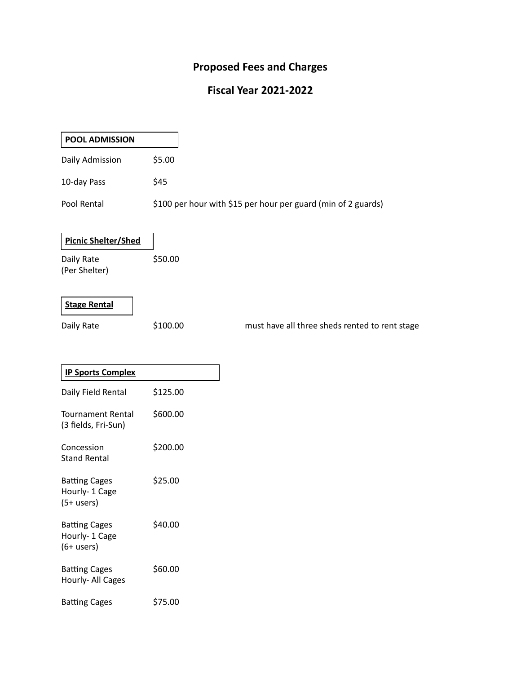# **Proposed Fees and Charges**

## **Fiscal Year 2021-2022**

| <b>POOL ADMISSION</b>                                     |                                                               |
|-----------------------------------------------------------|---------------------------------------------------------------|
| Daily Admission                                           | \$5.00                                                        |
| 10-day Pass                                               | \$45                                                          |
| Pool Rental                                               | \$100 per hour with \$15 per hour per guard (min of 2 guards) |
| <b>Picnic Shelter/Shed</b><br>Daily Rate<br>(Per Shelter) | \$50.00                                                       |
| <b>Stage Rental</b><br>Daily Rate                         | \$100.00<br>must have all three sheds rented to rent stage    |
| <b>IP Sports Complex</b>                                  |                                                               |
| Daily Field Rental                                        | \$125.00                                                      |
| <b>Tournament Rental</b><br>(3 fields, Fri-Sun)           | \$600.00                                                      |
| Concession<br><b>Stand Rental</b>                         | \$200.00                                                      |
| <b>Batting Cages</b><br>Hourly- 1 Cage<br>$(5+$ users)    | \$25.00                                                       |
| <b>Batting Cages</b><br>Hourly- 1 Cage<br>$(6 + users)$   | \$40.00                                                       |
| <b>Batting Cages</b><br>Hourly- All Cages                 | \$60.00                                                       |
| <b>Batting Cages</b>                                      | \$75.00                                                       |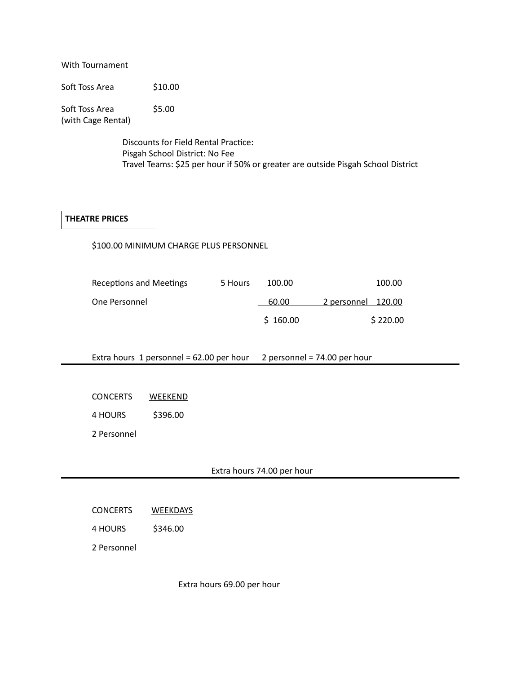With Tournament

Soft Toss Area \$10.00

Soft Toss Area \$5.00 (with Cage Rental)

> Discounts for Field Rental Practice: Pisgah School District: No Fee Travel Teams: \$25 per hour if 50% or greater are outside Pisgah School District

#### **THEATRE PRICES**

\$100.00 MINIMUM CHARGE PLUS PERSONNEL

| Receptions and Meetings | 5 Hours | 100.00   | 100.00             |
|-------------------------|---------|----------|--------------------|
| One Personnel           |         | 60.00    | 2 personnel 120.00 |
|                         |         | \$160.00 | \$220.00           |

Extra hours 1 personnel = 62.00 per hour 2 personnel = 74.00 per hour

CONCERTS WEEKEND

4 HOURS \$396.00

2 Personnel

#### Extra hours 74.00 per hour

| <b>CONCERTS</b> | <b>WEEKDAYS</b> |
|-----------------|-----------------|
|                 |                 |

4 HOURS \$346.00

2 Personnel

Extra hours 69.00 per hour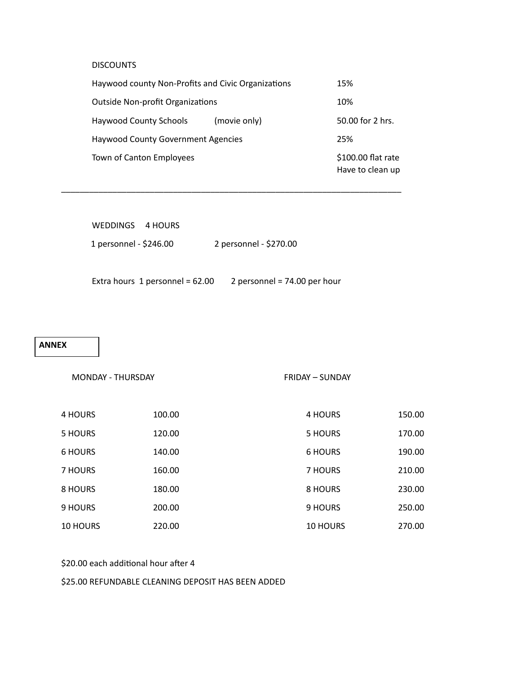#### **DISCOUNTS**

| Haywood county Non-Profits and Civic Organizations | 15%                                    |
|----------------------------------------------------|----------------------------------------|
| <b>Outside Non-profit Organizations</b>            | 10%                                    |
| <b>Haywood County Schools</b><br>(movie only)      | 50.00 for 2 hrs.                       |
| <b>Haywood County Government Agencies</b>          | 25%                                    |
| Town of Canton Employees                           | \$100.00 flat rate<br>Have to clean up |

\_\_\_\_\_\_\_\_\_\_\_\_\_\_\_\_\_\_\_\_\_\_\_\_\_\_\_\_\_\_\_\_\_\_\_\_\_\_\_\_\_\_\_\_\_\_\_\_\_\_\_\_\_\_\_\_\_\_\_\_\_\_\_\_\_\_\_\_\_\_\_\_\_

| WEDDINGS 4 HOURS       |                        |
|------------------------|------------------------|
| 1 personnel - \$246.00 | 2 personnel - \$270.00 |
|                        |                        |

Extra hours 1 personnel = 62.00 2 personnel = 74.00 per hour

#### **ANNEX**

FRIDAY – SUNDAY

| 4 HOURS  | 100.00 | 4 HOURS         | 150.00 |
|----------|--------|-----------------|--------|
| 5 HOURS  | 120.00 | 5 HOURS         | 170.00 |
| 6 HOURS  | 140.00 | 6 HOURS         | 190.00 |
| 7 HOURS  | 160.00 | 7 HOURS         | 210.00 |
| 8 HOURS  | 180.00 | 8 HOURS         | 230.00 |
| 9 HOURS  | 200.00 | 9 HOURS         | 250.00 |
| 10 HOURS | 220.00 | <b>10 HOURS</b> | 270.00 |

#### \$20.00 each additional hour after 4

\$25.00 REFUNDABLE CLEANING DEPOSIT HAS BEEN ADDED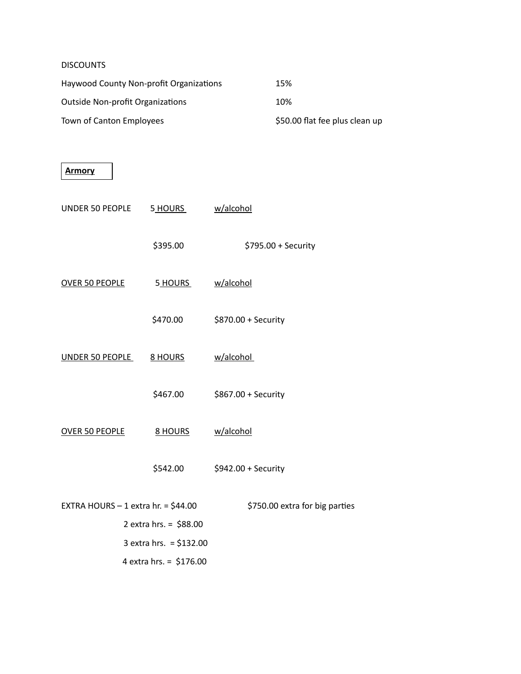### **DISCOUNTS**

| Haywood County Non-profit Organizations | 15%                            |
|-----------------------------------------|--------------------------------|
| <b>Outside Non-profit Organizations</b> | 10%                            |
| Town of Canton Employees                | \$50.00 flat fee plus clean up |

| Armory                               |                          |                                |
|--------------------------------------|--------------------------|--------------------------------|
| UNDER 50 PEOPLE                      | 5 HOURS                  | w/alcohol                      |
|                                      | \$395.00                 | \$795.00 + Security            |
| <b>OVER 50 PEOPLE</b>                | 5 HOURS                  | w/alcohol                      |
|                                      | \$470.00                 | \$870.00 + Security            |
| <b>UNDER 50 PEOPLE</b>               | <b>8 HOURS</b>           | w/alcohol                      |
|                                      | \$467.00                 | \$867.00 + Security            |
| <b>OVER 50 PEOPLE</b>                | <b>8 HOURS</b>           | w/alcohol                      |
|                                      | \$542.00                 | \$942.00 + Security            |
| EXTRA HOURS $-1$ extra hr. = \$44.00 |                          | \$750.00 extra for big parties |
|                                      | 2 extra hrs. = $$88.00$  |                                |
|                                      | 3 extra hrs. = $$132.00$ |                                |
|                                      | 4 extra hrs. = $$176.00$ |                                |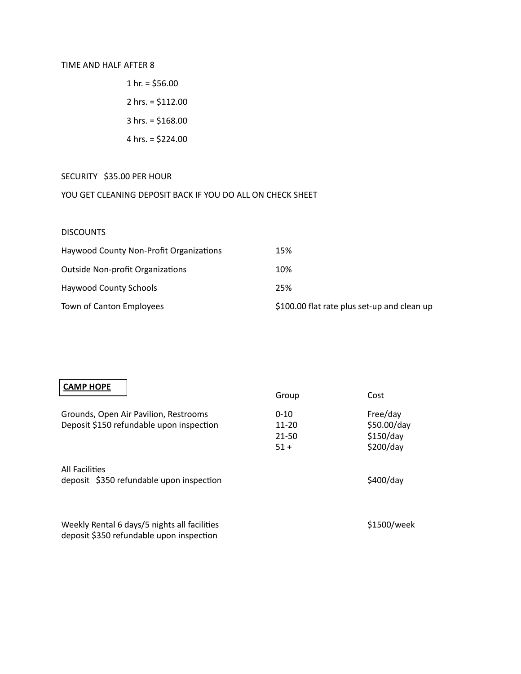#### TIME AND HALF AFTER 8

1 hr. =  $$56.00$  2 hrs. = \$112.00 3 hrs. = \$168.00 4 hrs. = \$224.00

#### SECURITY \$35.00 PER HOUR

## YOU GET CLEANING DEPOSIT BACK IF YOU DO ALL ON CHECK SHEET

#### **DISCOUNTS**

| Haywood County Non-Profit Organizations | 15%                                         |
|-----------------------------------------|---------------------------------------------|
| <b>Outside Non-profit Organizations</b> | 10%                                         |
| Haywood County Schools                  | 25%                                         |
| Town of Canton Employees                | \$100.00 flat rate plus set-up and clean up |

| <b>CAMP HOPE</b>                                                                         | Group                                        | Cost                                              |
|------------------------------------------------------------------------------------------|----------------------------------------------|---------------------------------------------------|
| Grounds, Open Air Pavilion, Restrooms<br>Deposit \$150 refundable upon inspection        | $0 - 10$<br>$11 - 20$<br>$21 - 50$<br>$51 +$ | Free/day<br>\$50.00/day<br>\$150/day<br>\$200/day |
| <b>All Facilities</b><br>deposit \$350 refundable upon inspection                        |                                              | \$400/day                                         |
| Weekly Rental 6 days/5 nights all facilities<br>deposit \$350 refundable upon inspection |                                              | \$1500/week                                       |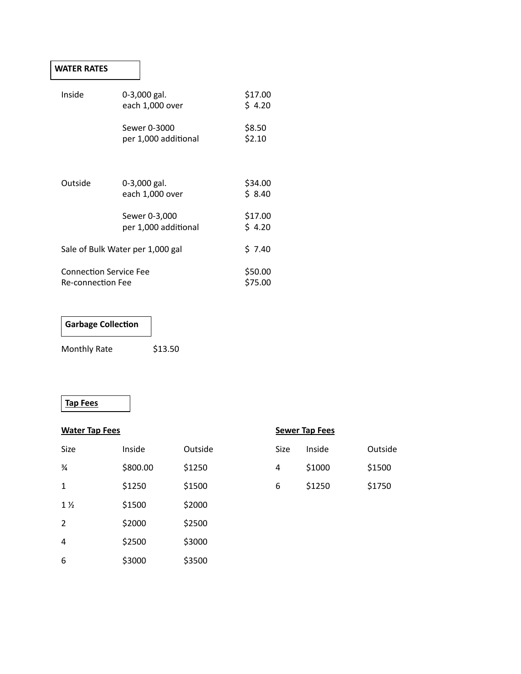## **WATER RATES**

| Inside                           | 0-3,000 gal.<br>each 1,000 over      | \$17.00<br>\$4.20 |
|----------------------------------|--------------------------------------|-------------------|
|                                  | Sewer 0-3000<br>per 1,000 additional | \$8.50<br>\$2.10  |
|                                  |                                      |                   |
| Outside                          | 0-3,000 gal.                         | \$34.00           |
|                                  | each 1,000 over                      | \$ 8.40           |
|                                  | Sewer 0-3,000                        | \$17.00           |
|                                  | per 1,000 additional                 | \$4.20            |
| Sale of Bulk Water per 1,000 gal |                                      | \$7.40            |
| <b>Connection Service Fee</b>    |                                      | \$50.00           |
| <b>Re-connection Fee</b>         |                                      | \$75.00           |

## **Garbage Collection**

Monthly Rate \$13.50

## **Tap Fees**

| <b>Water Tap Fees</b> |          |         | <b>Sewer Tap Fees</b> |        |         |
|-----------------------|----------|---------|-----------------------|--------|---------|
| Size                  | Inside   | Outside | Size                  | Inside | Outside |
| $\frac{3}{4}$         | \$800.00 | \$1250  | 4                     | \$1000 | \$1500  |
| $\mathbf{1}$          | \$1250   | \$1500  | 6                     | \$1250 | \$1750  |
| $1\frac{1}{2}$        | \$1500   | \$2000  |                       |        |         |
| 2                     | \$2000   | \$2500  |                       |        |         |
| 4                     | \$2500   | \$3000  |                       |        |         |
| 6                     | \$3000   | \$3500  |                       |        |         |

|  | Sewer Tap Fees |
|--|----------------|
|  |                |

| Size | Inside | Outside |
|------|--------|---------|
| 4    | \$1000 | \$1500  |
| 6    | \$1250 | \$1750  |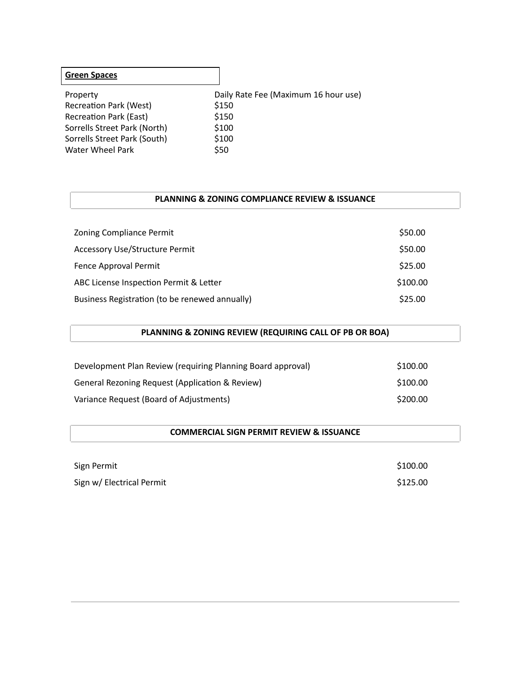| <b>Green Spaces</b>           |                                      |
|-------------------------------|--------------------------------------|
| Property                      | Daily Rate Fee (Maximum 16 hour use) |
| <b>Recreation Park (West)</b> | \$150                                |
| <b>Recreation Park (East)</b> | \$150                                |
| Sorrells Street Park (North)  | \$100                                |
| Sorrells Street Park (South)  | \$100                                |
| Water Wheel Park              | \$50                                 |
|                               |                                      |

#### **PLANNING & ZONING COMPLIANCE REVIEW & ISSUANCE**

| Zoning Compliance Permit                       | \$50.00  |
|------------------------------------------------|----------|
| <b>Accessory Use/Structure Permit</b>          | \$50.00  |
| Fence Approval Permit                          | \$25.00  |
| ABC License Inspection Permit & Letter         | \$100.00 |
| Business Registration (to be renewed annually) | \$25.00  |

| PLANNING & ZONING REVIEW (REQUIRING CALL OF PB OR BOA) |
|--------------------------------------------------------|
|--------------------------------------------------------|

| Development Plan Review (requiring Planning Board approval) | \$100.00 |
|-------------------------------------------------------------|----------|
| General Rezoning Request (Application & Review)             | \$100.00 |
| Variance Request (Board of Adjustments)                     | \$200.00 |

#### **COMMERCIAL SIGN PERMIT REVIEW & ISSUANCE**

| Sign Permit               | \$100.00 |
|---------------------------|----------|
| Sign w/ Electrical Permit | \$125.00 |